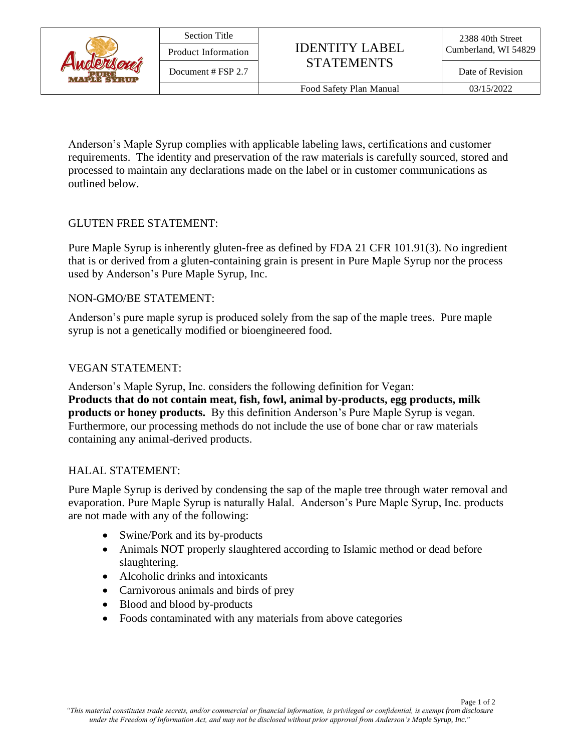

Anderson's Maple Syrup complies with applicable labeling laws, certifications and customer requirements. The identity and preservation of the raw materials is carefully sourced, stored and processed to maintain any declarations made on the label or in customer communications as outlined below.

#### GLUTEN FREE STATEMENT:

Pure Maple Syrup is inherently gluten-free as defined by FDA 21 CFR 101.91(3). No ingredient that is or derived from a gluten-containing grain is present in Pure Maple Syrup nor the process used by Anderson's Pure Maple Syrup, Inc.

#### NON-GMO/BE STATEMENT:

Anderson's pure maple syrup is produced solely from the sap of the maple trees. Pure maple syrup is not a genetically modified or bioengineered food.

### VEGAN STATEMENT:

Anderson's Maple Syrup, Inc. considers the following definition for Vegan: **Products that do not contain meat, fish, fowl, animal by-products, egg products, milk products or honey products.** By this definition Anderson's Pure Maple Syrup is vegan. Furthermore, our processing methods do not include the use of bone char or raw materials containing any animal-derived products.

#### HALAL STATEMENT:

Pure Maple Syrup is derived by condensing the sap of the maple tree through water removal and evaporation. Pure Maple Syrup is naturally Halal. Anderson's Pure Maple Syrup, Inc. products are not made with any of the following:

- Swine/Pork and its by-products
- Animals NOT properly slaughtered according to Islamic method or dead before slaughtering.
- Alcoholic drinks and intoxicants
- Carnivorous animals and birds of prey
- Blood and blood by-products
- Foods contaminated with any materials from above categories